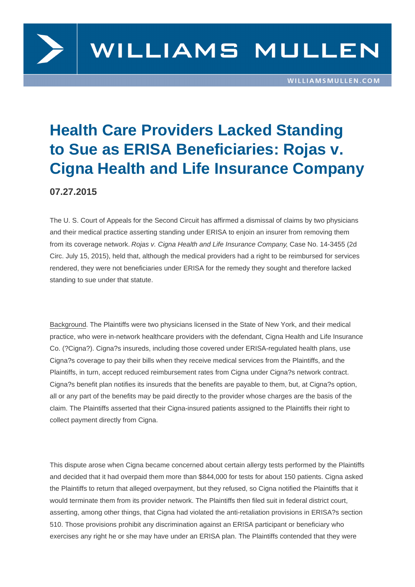

## **Health Care Providers Lacked Standing to Sue as ERISA Beneficiaries: Rojas v. Cigna Health and Life Insurance Company**

## **07.27.2015**

The U. S. Court of Appeals for the Second Circuit has affirmed a dismissal of claims by two physicians and their medical practice asserting standing under ERISA to enjoin an insurer from removing them from its coverage network. Rojas v. Cigna Health and Life Insurance Company, Case No. 14-3455 (2d Circ. July 15, 2015), held that, although the medical providers had a right to be reimbursed for services rendered, they were not beneficiaries under ERISA for the remedy they sought and therefore lacked standing to sue under that statute.

Background. The Plaintiffs were two physicians licensed in the State of New York, and their medical practice, who were in-network healthcare providers with the defendant, Cigna Health and Life Insurance Co. (?Cigna?). Cigna?s insureds, including those covered under ERISA-regulated health plans, use Cigna?s coverage to pay their bills when they receive medical services from the Plaintiffs, and the Plaintiffs, in turn, accept reduced reimbursement rates from Cigna under Cigna?s network contract. Cigna?s benefit plan notifies its insureds that the benefits are payable to them, but, at Cigna?s option, all or any part of the benefits may be paid directly to the provider whose charges are the basis of the claim. The Plaintiffs asserted that their Cigna-insured patients assigned to the Plaintiffs their right to collect payment directly from Cigna.

This dispute arose when Cigna became concerned about certain allergy tests performed by the Plaintiffs and decided that it had overpaid them more than \$844,000 for tests for about 150 patients. Cigna asked the Plaintiffs to return that alleged overpayment, but they refused, so Cigna notified the Plaintiffs that it would terminate them from its provider network. The Plaintiffs then filed suit in federal district court, asserting, among other things, that Cigna had violated the anti-retaliation provisions in ERISA?s section 510. Those provisions prohibit any discrimination against an ERISA participant or beneficiary who exercises any right he or she may have under an ERISA plan. The Plaintiffs contended that they were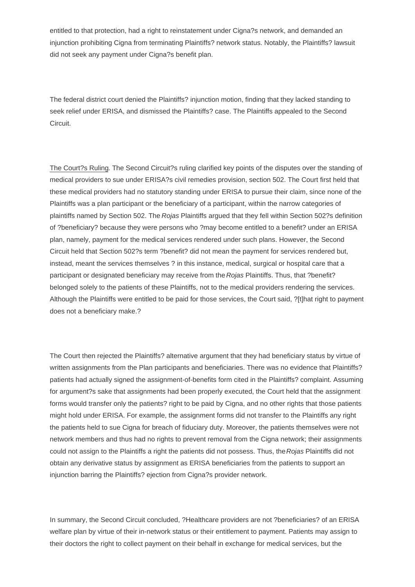entitled to that protection, had a right to reinstatement under Cigna?s network, and demanded an injunction prohibiting Cigna from terminating Plaintiffs? network status. Notably, the Plaintiffs? lawsuit did not seek any payment under Cigna?s benefit plan.

The federal district court denied the Plaintiffs? injunction motion, finding that they lacked standing to seek relief under ERISA, and dismissed the Plaintiffs? case. The Plaintiffs appealed to the Second Circuit.

The Court?s Ruling. The Second Circuit?s ruling clarified key points of the disputes over the standing of medical providers to sue under ERISA?s civil remedies provision, section 502. The Court first held that these medical providers had no statutory standing under ERISA to pursue their claim, since none of the Plaintiffs was a plan participant or the beneficiary of a participant, within the narrow categories of plaintiffs named by Section 502. The Rojas Plaintiffs argued that they fell within Section 502?s definition of ?beneficiary? because they were persons who ?may become entitled to a benefit? under an ERISA plan, namely, payment for the medical services rendered under such plans. However, the Second Circuit held that Section 502?s term ?benefit? did not mean the payment for services rendered but, instead, meant the services themselves ? in this instance, medical, surgical or hospital care that a participant or designated beneficiary may receive from the Rojas Plaintiffs. Thus, that ?benefit? belonged solely to the patients of these Plaintiffs, not to the medical providers rendering the services. Although the Plaintiffs were entitled to be paid for those services, the Court said, ?[t]hat right to payment does not a beneficiary make.?

The Court then rejected the Plaintiffs? alternative argument that they had beneficiary status by virtue of written assignments from the Plan participants and beneficiaries. There was no evidence that Plaintiffs? patients had actually signed the assignment-of-benefits form cited in the Plaintiffs? complaint. Assuming for argument?s sake that assignments had been properly executed, the Court held that the assignment forms would transfer only the patients? right to be paid by Cigna, and no other rights that those patients might hold under ERISA. For example, the assignment forms did not transfer to the Plaintiffs any right the patients held to sue Cigna for breach of fiduciary duty. Moreover, the patients themselves were not network members and thus had no rights to prevent removal from the Cigna network; their assignments could not assign to the Plaintiffs a right the patients did not possess. Thus, the Rojas Plaintiffs did not obtain any derivative status by assignment as ERISA beneficiaries from the patients to support an injunction barring the Plaintiffs? ejection from Cigna?s provider network.

In summary, the Second Circuit concluded, ?Healthcare providers are not ?beneficiaries? of an ERISA welfare plan by virtue of their in-network status or their entitlement to payment. Patients may assign to their doctors the right to collect payment on their behalf in exchange for medical services, but the